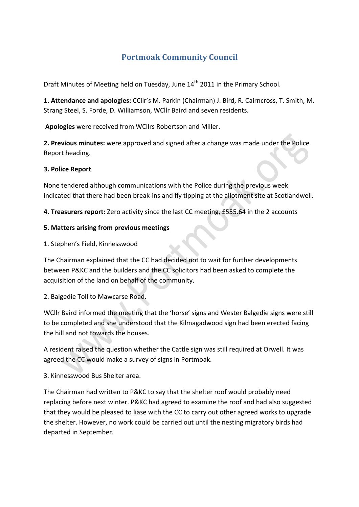# **Portmoak Community Council**

Draft Minutes of Meeting held on Tuesday, June 14<sup>th</sup> 2011 in the Primary School.

1. Attendance and apologies: CCllr's M. Parkin (Chairman) J. Bird, R. Cairncross, T. Smith, M. Strang Steel, S. Forde, D. Williamson, WCllr Baird and seven residents.

Apologies were received from WCllrs Robertson and Miller.

**2. Previous minutes:** were approved and signed after a change was made under the Police Report heading.

## **3. Police Report**

None tendered although communications with the Police during the previous week indicated that there had been break-ins and fly tipping at the allotment site at Scotlandwell.

4. Treasurers report: Zero activity since the last CC meeting, £555.64 in the 2 accounts

## **5. Matters arising from previous meetings**

1. Stephen's Field, Kinnesswood

The Chairman explained that the CC had decided not to wait for further developments between P&KC and the builders and the CC solicitors had been asked to complete the acquisition of the land on behalf of the community.

2. Balgedie Toll to Mawcarse Road.

WCIIr Baird informed the meeting that the 'horse' signs and Wester Balgedie signs were still to be completed and she understood that the Kilmagadwood sign had been erected facing the hill and not towards the houses.

A resident raised the question whether the Cattle sign was still required at Orwell. It was agreed the CC would make a survey of signs in Portmoak.

3. Kinnesswood Bus Shelter area.

The Chairman had written to P&KC to say that the shelter roof would probably need replacing before next winter. P&KC had agreed to examine the roof and had also suggested that they would be pleased to liase with the CC to carry out other agreed works to upgrade the shelter. However, no work could be carried out until the nesting migratory birds had departed in September.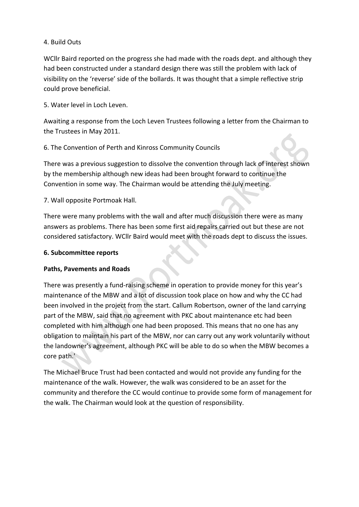# 4. Build Outs

WCllr Baird reported on the progress she had made with the roads dept. and although they had been constructed under a standard design there was still the problem with lack of visibility on the 'reverse' side of the bollards. It was thought that a simple reflective strip could prove beneficial.

5. Water level in Loch Leven.

Awaiting a response from the Loch Leven Trustees following a letter from the Chairman to the Trustees in May 2011.

## 6. The Convention of Perth and Kinross Community Councils

There was a previous suggestion to dissolve the convention through lack of interest shown by the membership although new ideas had been brought forward to continue the Convention in some way. The Chairman would be attending the July meeting.

7. Wall opposite Portmoak Hall.

There were many problems with the wall and after much discussion there were as many answers as problems. There has been some first aid repairs carried out but these are not considered satisfactory. WCllr Baird would meet with the roads dept to discuss the issues.

#### **6. 
 Subcommittee reports**

# **Paths, Pavements and Roads**

There was presently a fund-raising scheme in operation to provide money for this year's maintenance of the MBW and a lot of discussion took place on how and why the CC had been involved in the project from the start. Callum Robertson, owner of the land carrying part of the MBW, said that no agreement with PKC about maintenance etc had been completed with him although one had been proposed. This means that no one has any obligation to maintain his part of the MBW, nor can carry out any work voluntarily without the landowner's agreement, although PKC will be able to do so when the MBW becomes a core path.'

The Michael Bruce Trust had been contacted and would not provide any funding for the maintenance of the walk. However, the walk was considered to be an asset for the community and therefore the CC would continue to provide some form of management for the walk. The Chairman would look at the question of responsibility.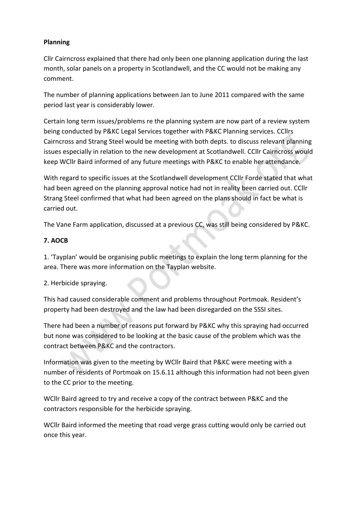# **Planning**

Cllr Cairncross explained that there had only been one planning application during the last month, solar panels on a property in Scotlandwell, and the CC would not be making any comment.

The number of planning applications between Jan to June 2011 compared with the same period last year is considerably lower.

Certain long term issues/problems re the planning system are now part of a review system being conducted by P&KC Legal Services together with P&KC Planning services. CCllrs Cairncross and Strang Steel would be meeting with both depts. to discuss relevant planning issues especially in relation to the new development at Scotlandwell. CCllr Cairncross would keep WCllr Baird informed of any future meetings with P&KC to enable her attendance.

With regard to specific issues at the Scotlandwell development CCIIr Forde stated that what had been agreed on the planning approval notice had not in reality been carried out. CCllr Strang Steel confirmed that what had been agreed on the plans should in fact be what is carried out.

The Vane Farm application, discussed at a previous CC, was still being considered by P&KC.

# **7. 
 AOCB**

1. 'Tayplan' would be organising public meetings to explain the long term planning for the area. There was more information on the Tayplan website.

# 2. Herbicide spraying.

This had caused considerable comment and problems throughout Portmoak. Resident's property had been destroyed and the law had been disregarded on the SSSI sites.

There had been a number of reasons put forward by P&KC why this spraying had occurred but none was considered to be looking at the basic cause of the problem which was the contract between P&KC and the contractors.

Information was given to the meeting by WCIIr Baird that P&KC were meeting with a number of residents of Portmoak on 15.6.11 although this information had not been given to the CC prior to the meeting.

WCllr Baird agreed to try and receive a copy of the contract between P&KC and the contractors responsible for the herbicide spraying.

WCIIr Baird informed the meeting that road verge grass cutting would only be carried out once this year.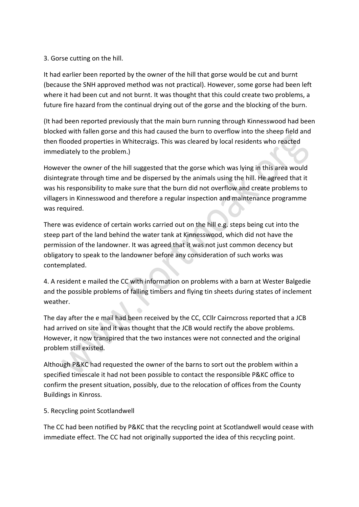# 3. Gorse cutting on the hill.

It had earlier been reported by the owner of the hill that gorse would be cut and burnt (because the SNH approved method was not practical). However, some gorse had been left where it had been cut and not burnt. It was thought that this could create two problems, a future fire hazard from the continual drying out of the gorse and the blocking of the burn.

(It had been reported previously that the main burn running through Kinnesswood had been blocked with fallen gorse and this had caused the burn to overflow into the sheep field and then flooded properties in Whitecraigs. This was cleared by local residents who reacted immediately to the problem.)

However the owner of the hill suggested that the gorse which was lying in this area would disintegrate through time and be dispersed by the animals using the hill. He agreed that it was his responsibility to make sure that the burn did not overflow and create problems to villagers in Kinnesswood and therefore a regular inspection and maintenance programme was required.

There was evidence of certain works carried out on the hill e.g. steps being cut into the steep part of the land behind the water tank at Kinnesswood, which did not have the permission of the landowner. It was agreed that it was not just common decency but obligatory to speak to the landowner before any consideration of such works was contemplated. 

4. A resident e mailed the CC with information on problems with a barn at Wester Balgedie and the possible problems of falling timbers and flying tin sheets during states of inclement weather.

The day after the e mail had been received by the CC, CCIIr Cairncross reported that a JCB had arrived on site and it was thought that the JCB would rectify the above problems. However, it now transpired that the two instances were not connected and the original problem still existed.

Although P&KC had requested the owner of the barns to sort out the problem within a specified timescale it had not been possible to contact the responsible P&KC office to confirm the present situation, possibly, due to the relocation of offices from the County Buildings in Kinross.

# 5. Recycling point Scotlandwell

The CC had been notified by P&KC that the recycling point at Scotlandwell would cease with immediate effect. The CC had not originally supported the idea of this recycling point.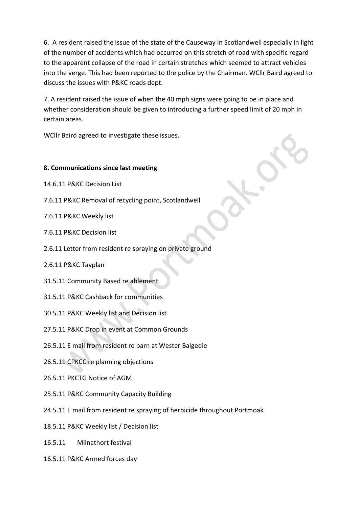6. A resident raised the issue of the state of the Causeway in Scotlandwell especially in light of the number of accidents which had occurred on this stretch of road with specific regard to the apparent collapse of the road in certain stretches which seemed to attract vehicles into the verge. This had been reported to the police by the Chairman. WCllr Baird agreed to discuss the issues with P&KC roads dept.

7. A resident raised the issue of when the 40 mph signs were going to be in place and whether consideration should be given to introducing a further speed limit of 20 mph in certain areas.

WCllr Baird agreed to investigate these issues.

## **8. Communications since last meeting**

- 14.6.11 P&KC Decision List
- 7.6.11 P&KC Removal of recycling point, Scotlandwell
- 7.6.11 P&KC Weekly list
- 7.6.11 P&KC Decision list
- 2.6.11 Letter from resident re spraying on private ground
- 2.6.11 P&KC Tayplan
- 31.5.11 Community Based re ablement
- 31.5.11 P&KC Cashback for communities
- 30.5.11 P&KC Weekly list and Decision list
- 27.5.11 P&KC Drop in event at Common Grounds
- 26.5.11 E mail from resident re barn at Wester Balgedie
- 26.5.11 CPKCC re planning objections
- 26.5.11 PKCTG Notice of AGM
- 25.5.11 P&KC Community Capacity Building
- 24.5.11 E mail from resident re spraying of herbicide throughout Portmoak
- 18.5.11 P&KC Weekly list / Decision list
- 16.5.11 Milnathort festival
- 16.5.11 P&KC Armed forces day